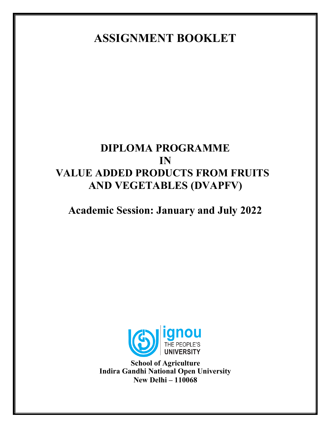**ASSIGNMENT BOOKLET**

# **DIPLOMA PROGRAMME IN VALUE ADDED PRODUCTS FROM FRUITS AND VEGETABLES (DVAPFV)**

## **Academic Session: January and July 2022**



**School of Agriculture Indira Gandhi National Open University New Delhi – 110068**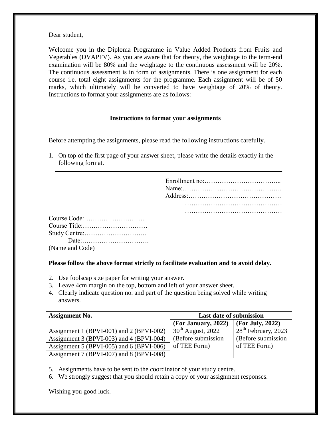Dear student,

Welcome you in the Diploma Programme in Value Added Products from Fruits and Vegetables (DVAPFV). As you are aware that for theory, the weightage to the term-end examination will be 80% and the weightage to the continuous assessment will be 20%. The continuous assessment is in form of assignments. There is one assignment for each course i.e. total eight assignments for the programme. Each assignment will be of 50 marks, which ultimately will be converted to have weightage of 20% of theory. Instructions to format your assignments are as follows:

#### **Instructions to format your assignments**

Before attempting the assignments, please read the following instructions carefully.

1. On top of the first page of your answer sheet, please write the details exactly in the following format.

| Course Code: (1) |
|------------------|
| Course Title:    |
|                  |
|                  |
| (Name and Code)  |

## **Please follow the above format strictly to facilitate evaluation and to avoid delay.**

- 2. Use foolscap size paper for writing your answer.
- 3. Leave 4cm margin on the top, bottom and left of your answer sheet.
- 4. Clearly indicate question no. and part of the question being solved while writing answers.

| <b>Assignment No.</b>                    | <b>Last date of submission</b> |                                 |  |
|------------------------------------------|--------------------------------|---------------------------------|--|
|                                          | (For January, 2022)            | (For July, 2022)                |  |
| Assignment 1 (BPVI-001) and 2 (BPVI-002) | $30th$ August, 2022            | 28 <sup>th</sup> February, 2023 |  |
| Assignment 3 (BPVI-003) and 4 (BPVI-004) | (Before submission             | (Before submission              |  |
| Assignment 5 (BPVI-005) and 6 (BPVI-006) | of TEE Form)                   | of TEE Form)                    |  |
| Assignment 7 (BPVI-007) and 8 (BPVI-008) |                                |                                 |  |

- 5. Assignments have to be sent to the coordinator of your study centre.
- 6. We strongly suggest that you should retain a copy of your assignment responses.

Wishing you good luck.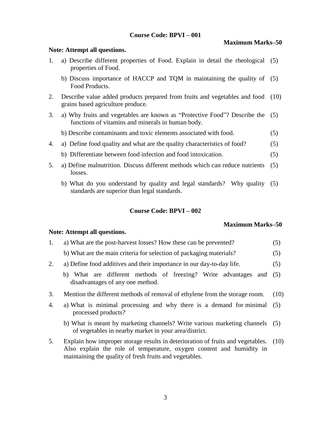## **Course Code: BPVI – 001**

#### **Maximum Marks–50**

## 1. a) Describe different properties of Food. Explain in detail the rheological (5) properties of Food. b) Discuss importance of HACCP and TQM in maintaining the quality of (5) Food Products. 2. Describe value added products prepared from fruits and vegetables and food (10) grains based agriculture produce. 3. a) Why fruits and vegetables are known as "Protective Food"? Describe the (5) functions of vitamins and minerals in human body. b) Describe contaminants and toxic elements associated with food. (5) 4. a) Define food quality and what are the quality characteristics of food? (5) b) Differentiate between food infection and food intoxication. (5) 5. a) Define malnutrition. Discuss different methods which can reduce nutrients (5) losses. b) What do you understand by quality and legal standards? Why quality (5) standards are superior than legal standards.

## **Course Code: BPVI – 002**

## **Maximum Marks–50**

#### **Note: Attempt all questions.**

- 1. a) What are the post-harvest losses? How these can be prevented? (5)
	- b) What are the main criteria for selection of packaging materials? (5)
- 2. a) Define food additives and their importance in our day-to-day life. (5)
	- b) What are different methods of freezing? Write advantages and (5) disadvantages of any one method.
- 3. Mention the different methods of removal of ethylene from the storage room. (10)
- 4. a) What is minimal processing and why there is a demand for minimal processed products? (5)
	- b) What is meant by marketing channels? Write various marketing channels (5) of vegetables in nearby market in your area/district.
- 5. Explain how improper storage results in deterioration of fruits and vegetables. Also explain the role of temperature, oxygen content and humidity in maintaining the quality of fresh fruits and vegetables.  $(10)$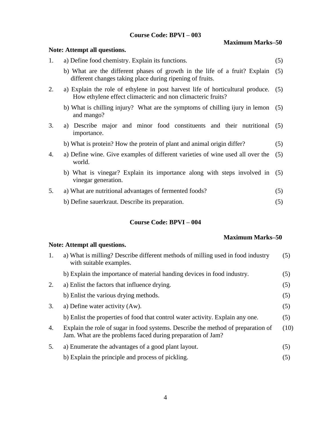## **Course Code: BPVI – 003**

**Maximum Marks–50**

|    | Note: Attempt all questions.                                                                                                                  |     |
|----|-----------------------------------------------------------------------------------------------------------------------------------------------|-----|
| 1. | a) Define food chemistry. Explain its functions.                                                                                              | (5) |
|    | b) What are the different phases of growth in the life of a fruit? Explain<br>different changes taking place during ripening of fruits.       | (5) |
| 2. | a) Explain the role of ethylene in post harvest life of horticultural produce.<br>How ethylene effect climacteric and non climacteric fruits? | (5) |
|    | b) What is chilling injury? What are the symptoms of chilling ijury in lemon<br>and mango?                                                    | (5) |
| 3. | a) Describe major and minor food constituents and their nutritional<br>importance.                                                            | (5) |
|    | b) What is protein? How the protein of plant and animal origin differ?                                                                        | (5) |
| 4. | a) Define wine. Give examples of different varieties of wine used all over the<br>world.                                                      | (5) |
|    | b) What is vinegar? Explain its importance along with steps involved in<br>vinegar generation.                                                | (5) |
| 5. | a) What are nutritional advantages of fermented foods?                                                                                        | (5) |
|    | b) Define sauerkraut. Describe its preparation.                                                                                               | (5) |

## **Course Code: BPVI – 004**

## **Maximum Marks–50**

| a) What is milling? Describe different methods of milling used in food industry<br>with suitable examples.                                      | (5)  |
|-------------------------------------------------------------------------------------------------------------------------------------------------|------|
| b) Explain the importance of material handing devices in food industry.                                                                         | (5)  |
| a) Enlist the factors that influence drying.                                                                                                    | (5)  |
| b) Enlist the various drying methods.                                                                                                           | (5)  |
| a) Define water activity (Aw).                                                                                                                  | (5)  |
| b) Enlist the properties of food that control water activity. Explain any one.                                                                  | (5)  |
| Explain the role of sugar in food systems. Describe the method of preparation of<br>Jam. What are the problems faced during preparation of Jam? | (10) |
| a) Enumerate the advantages of a good plant layout.                                                                                             | (5)  |
| b) Explain the principle and process of pickling.                                                                                               | (5)  |
|                                                                                                                                                 |      |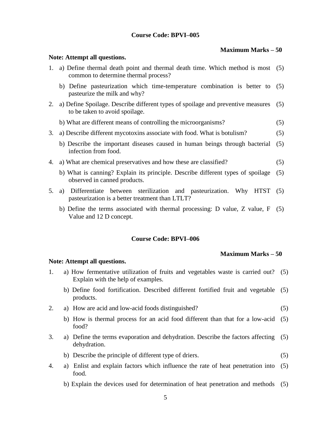## **Course Code: BPVI–005**

## **Maximum Marks – 50**

#### **Note: Attempt all questions.**

- 1. a) Define thermal death point and thermal death time. Which method is most (5) common to determine thermal process?
	- b) Define pasteurization which time-temperature combination is better to pasteurize the milk and why? (5)
- 2. a) Define Spoilage. Describe different types of spoilage and preventive measures to be taken to avoid spoilage. (5)
	- b) What are different means of controlling the microorganisms? (5)
- 3. a) Describe different mycotoxins associate with food. What is botulism? (5)
	- b) Describe the important diseases caused in human beings through bacterial infection from food. (5)
- 4. a) What are chemical preservatives and how these are classified? (5)
	- b) What is canning? Explain its principle. Describe different types of spoilage observed in canned products. (5)
- 5. a) Differentiate between sterilization and pasteurization. Why HTST (5) pasteurization is a better treatment than LTLT?
	- b) Define the terms associated with thermal processing: D value, Z value, F (5) Value and 12 D concept.

## **Course Code: BPVI–006**

#### **Maximum Marks – 50**

- 1. a) How fermentative utilization of fruits and vegetables waste is carried out? (5) Explain with the help of examples.
	- b) Define food fortification. Described different fortified fruit and vegetable (5) products.
- 2. a) How are acid and low-acid foods distinguished? (5)
	- b) How is thermal process for an acid food different than that for a low-acid (5) food?
- 3. a) Define the terms evaporation and dehydration. Describe the factors affecting (5) dehydration.
	- b) Describe the principle of different type of driers. (5)
- 4. a) Enlist and explain factors which influence the rate of heat penetration into (5) food.
	- b) Explain the devices used for determination of heat penetration and methods (5)